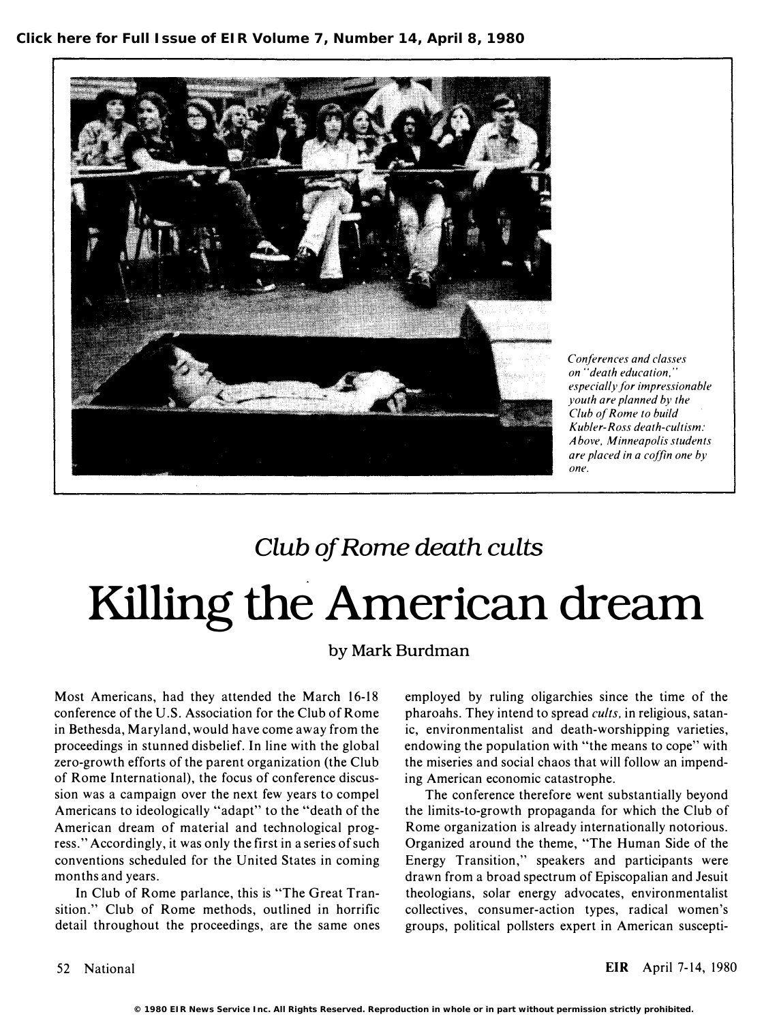

Conferences and classes on "death education," especially for impressionable youth are planned by the Club of Rome to build Kubler-Ross death-cultism: <sup>A</sup>bove, Minneapolis students are placed in a coffin one by one.

### Club of Rome death cults

# Killing the American dream

#### by Mark Burdman

Most Americans, had they attended the March 16-18 conference of the U.S, Association for the Club of Rome in Bethesda, Maryland, would have come away from the proceedings in stunned disbelief. In line with the global zero-growth efforts of the parent organization (the Club of Rome International), the focus of conference discussion was a campaign over the next few years to compel Americans to ideologically "adapt" to the "death of the American dream of material and technological progress." Accordingly, it was only the first in a series of such conventions scheduled for the United States in coming months and years.

In Club of Rome parlance, this is "The Great Transition." Club of Rome methods, outlined in horrific detail throughout the proceedings, are the same ones employed by ruling oligarchies since the time of the pharoahs. They intend to spread *cults*, in religious, satanic, environmentalist and death-worshipping varieties, endowing the population with "the means to cope" with the miseries and social chaos that will follow an impending American economic catastrophe.

The conference therefore went substantially beyond the limits-to-growth propaganda for which the Club of Rome organization is already internationally notorious. Organized around the theme, "The Human Side of the Energy Transition," speakers and participants were drawn from a broad spectrum of Episcopalian and Jesuit theologians, solar energy advocates, environmentalist collectives, consumer-action types, radical women's groups, political pollsters expert in American suscepti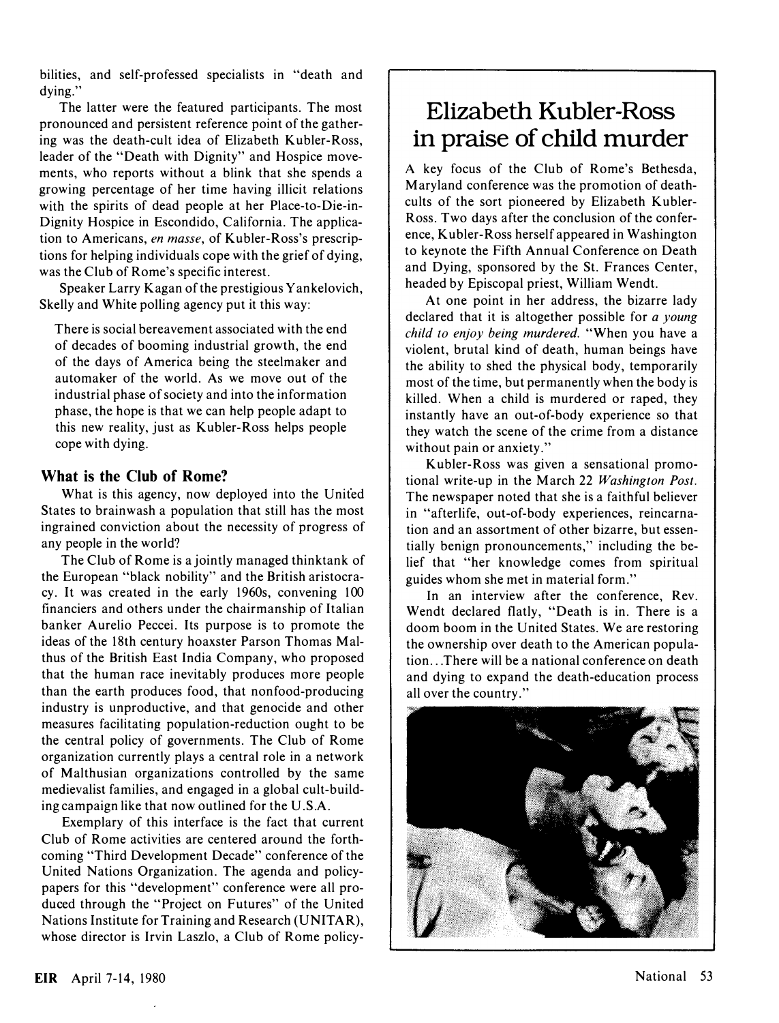bilities, and self-professed specialists in "death and dving."

The latter were the featured participants. The most pronounced and persistent reference point of the gathering was the death-cult idea of Elizabeth Kubler-Ross, leader of the "Death with Dignity" and Hospice movements, who reports without a blink that she spends a growing percentage of her time having illicit relations with the spirits of dead people at her Place-to-Die-in-Dignity Hospice in Escondido, California. The application to Americans, en masse, of Kubler-Ross's prescriptions for helping individuals cope with the grief of dying, was the Club of Rome's specific interest.

Speaker Larry Kagan of the prestigious Yankelovich, Skelly and White polling agency put it this way:

There is social bereavement associated with the end of decades of booming industrial growth, the end of the days of America being the steelmaker and automaker of the world. As we move out of the industrial phase of society and into the information phase, the hope is that we can help people adapt to this new reality, just as Kubler-Ross helps people cope with dying.

#### What is the Club of Rome?

What is this agency, now deployed into the United States to brainwash a population that still has the most ingrained conviction about the necessity of progress of any people in the world?

The Club of Rome is a jointly managed thinktank of the European "black nobility" and the British aristocracy. It was created in the early 1960s, convening 100 financiers and others under the chairmanship of Italian banker Aurelio Peccei. Its purpose is to promote the ideas of the 18th century hoaxster Parson Thomas Malthus of the British East India Company, who proposed that the human race inevitably produces more people than the earth produces food, that nonfood-producing industry is unproductive, and that genocide and other measures facilitating population-reduction ought to be the central policy of governments. The Club of Rome organization currently plays a central role in a network of Malthusian organizations controlled by the same medievalist families, and engaged in a global cult-building campaign like that now outlined for the U.S.A.

Exemplary of this interface is the fact that current Club of Rome activities are centered around the forthcoming "Third Development Decade" conference of the United Nations Organization. The agenda and policypapers for this "development" conference were all produced through the "Project on Futures" of the United Nations Institute for Training and Research (UNITAR), whose director is Irvin Laszlo, a Club of Rome policy-

### Elizabeth Kubler-Ross in praise of child murder

A key focus of the Club of Rome's Bethesda, Maryland conference was the promotion of deathcults of the sort pioneered by Elizabeth Kubler-Ross. Two days after the conclusion of the conference, Kubler-Ross herself appeared in Washington to keynote the Fifth Annual Conference on Death and Dying, sponsored by the St. Frances Center, headed by Episcopal priest, William Wendt.

At one point in her address, the bizarre lady declared that it is altogether possible for a young child to enjoy being murdered. "When you have a violent, brutal kind of death, human beings have the ability to shed the physical body, temporarily most of the time, but permanently when the body is killed. When a child is murdered or raped, they instantly have an out-of-body experience so that they watch the scene of the crime from a distance without pain or anxiety."

Kubler-Ross was given a sensational promotional write-up in the March 22 Washington Post. The newspaper noted that she is a faithful believer in "afterlife, out-of-body experiences, reincarnation and an assortment of other bizarre, but essentially benign pronouncements," including the belief that "her knowledge comes from spiritual guides whom she met in material form."

In an interview after the conference, Rev. Wendt declared flatly, "Death is in. There is a doom boom in the United States. We are restoring the ownership over death to the American population ... There will be a national conference on death and dying to expand the death-education process all over the country."

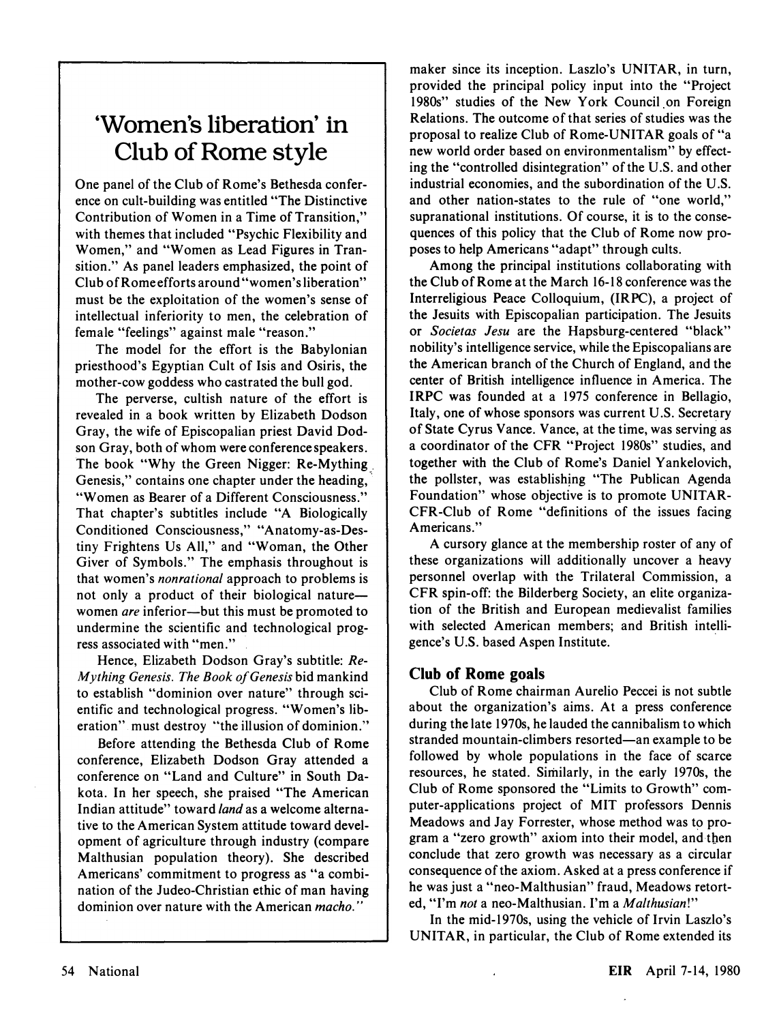### 'Women's liberation' in Club of Rome style

One panel of the Club of Rome's Bethesda conference on cult-building was entitled "The Distinctive Contribution of Women in a Time of Transition," with themes that included "Psychic Flexibility and Women," and "Women as Lead Figures in Transition." As panel leaders emphasized, the point of Club of Rome efforts around "women's liberation" must be the exploitation of the women's sense of intellectual inferiority to men, the celebration of female "feelings" against male "reason."

The model for the effort is the Babylonian priesthood's Egyptian Cult of Isis and Osiris, the mother-cow goddess who castrated the bull god.

The perverse, cultish nature of the effort is revealed in a book written by Elizabeth Dodson Gray, the wife of Episcopalian priest David Dodson Gray, both of whom were conference speakers. The book "Why the Green Nigger: Re-Mything , Genesis," contains one chapter under the heading, "Women as Bearer of a Different Consciousness." That chapter's subtitles include "A Biologically Conditioned Consciousness," "Anatomy-as-Destiny Frightens Vs All," and "Woman, the Other Giver of Symbols." The emphasis throughout is that women's *nonrational* approach to problems is not only a product of their biological naturewomen are inferior-but this must be promoted to undermine the scientific and technological progress associated with "men."

Hence, Elizabeth Dodson Gray's subtitle: Re-Mything Genesis. The Book of Genesis bid mankind to establish "dominion over nature" through scientific and technological progress. "Women's liberation" must destroy "the illusion of dominion."

Before attending the Bethesda Club of Rome conference, Elizabeth Dodson Gray attended a conference on "Land and Culture" in South Dakota. In her speech, she praised "The American Indian attitude" toward land as a welcome alternative to the American System attitude toward development of agriculture through industry (compare Malthusian population theory). She described Americans' commitment to progress as "a combination of the Judeo-Christian ethic of man having dominion over nature with the American *macho*."

maker since its inception. Laszlo's VNITAR, in turn, provided the principal policy input into the "Project 1980s" studies of the New York Council on Foreign Relations. The outcome of that series of studies was the proposal to realize Club of Rome-VNITAR goals of "a new world order based on environmentalism" by effecting the "controlled disintegration" of the V.S. and other industrial economies, and the subordination of the V.S. and other nation-states to the rule of "one world," supranational institutions. Of course, it is to the consequences of this policy that the Club of Rome now proposes to help Americans "adapt" through cults.

Among the principal institutions collaborating with the Club of Rome at the March 16-18 conference was the Interreligious Peace Colloquium, (IRPC), a project of the Jesuits with Episcopalian participation. The Jesuits or Societas Jesu are the Hapsburg-centered "black" nobility's intelligence service, while the Episcopalians are the American branch of the Church of England, and the center of British intelligence influence in America. The IRPC was founded at a 1975 conference in Bellagio, Italy, one of whose sponsors was current V.S. Secretary of State Cyrus Vance. Vance, at the time, was serving as a coordinator of the CFR "Project 1980s" studies, and together with the Club of Rome's Daniel Yankelovich, the pollster, was establishing "The Publican Agenda Foundation" whose objective is to promote VNITAR-CFR-Club of Rome "definitions of the issues facing Americans."

A cursory glance at the membership roster of any of these organizations will additionally uncover a heavy personnel overlap with the Trilateral Commission, a CFR spin-off: the Bilderberg Society, an elite organization of the British and European medievalist families with selected American members; and British intelli-' gence's V.S. based Aspen Institute.

#### Club of Rome goals

Club of Rome chairman Aurelio Peccei is not subtle about the organization's aims. At a press conference during the late 1970s, he lauded the cannibalism to which stranded mountain-climbers resorted—an example to be followed by whole populations in the face of scarce resources, he stated. Similarly, in the early 1970s, the Club of Rome sponsored the "Limits to Growth" computer-applications project of MIT professors Dennis Meadows and Jay Forrester, whose method was to program a "zero growth" axiom into their model, and then conclude that zero growth was necessary as a circular consequence of the axiom. Asked at a press conference if he was just a "neo-Malthusian" fraud, Meadows retorted, "I'm not a neo-Malthusian. I'm a Malthusian!"

In the mid-1970s, using the vehicle of Irvin Laszlo's VNITAR, in particular, the Club of Rome extended its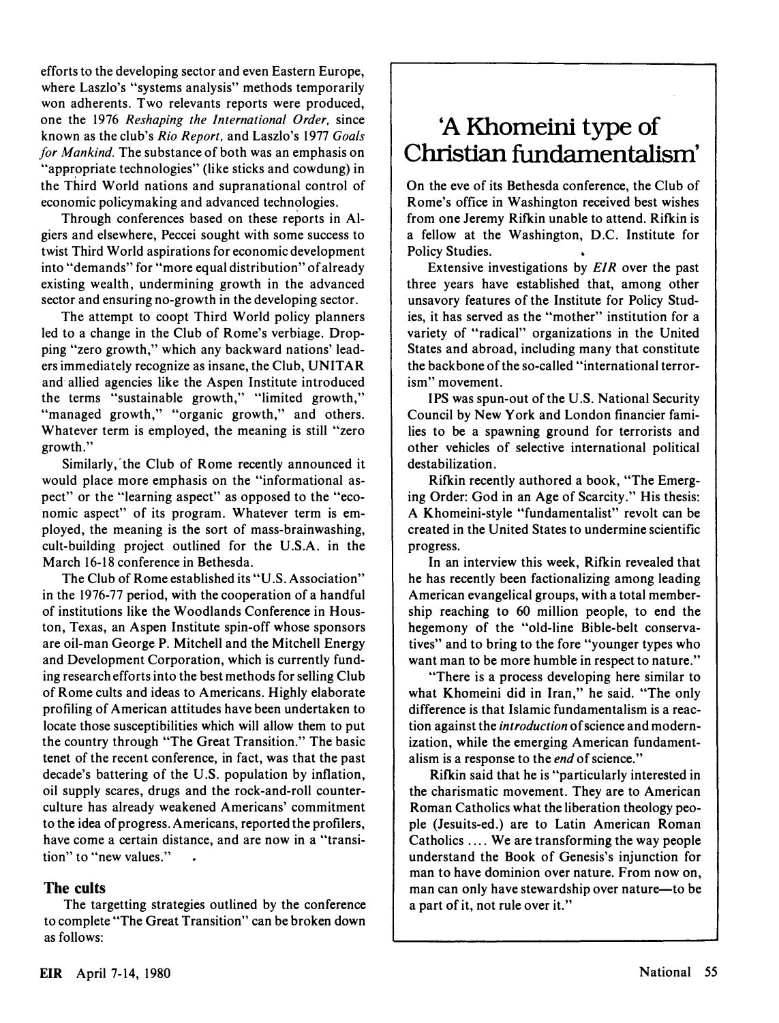efforts to the developing sector and even Eastern Europe, where Laszlo's "systems analysis" methods temporarily won adherents. Two relevants reports were produced, one the 1976 Reshaping the International Order, since known as the club's Rio Report. and Laszlo's 1977 Goals for Mankind. The substance of both was an emphasis on "appropriate technologies" (like sticks and cowdung) in the Third World nations and supranational control of economic policymaking and advanced technologies.

Through conferences based on these reports in Algiers and elsewhere, Peccei sought with some success to twist Third World aspirations for economic development into "demands" for "more equal distribution" of already existing wealth, undermining growth in the advanced sector and ensuring no-growth in the developing sector.

The attempt to coopt Third World policy planners led to a change in the Club of Rome's verbiage. Dropping "zero growth," which any backward nations' leaders immediately recognize as insane, the Club, UNITAR and' allied agencies like the Aspen Institute introduced the terms "sustainable growth," "limited growth," "managed growth," "organic growth," and others. Whatever term is employed, the meaning is still "zero growth."

Similarly, the Club of Rome recently announced it would place more emphasis on the "informational aspect" or the "learning aspect" as opposed to the "economic aspect" of its program. Whatever term is employed, the meaning is the sort of mass-brainwashing, cult-building project outlined for the U.S.A. in the March 16-18 conference in Bethesda.

The Club of Rome established its "U .S. Association" in the 1976-77 period, with the cooperation of a handful of institutions like the Woodlands Conference in Houston, Texas, an Aspen Institute spin-off whose sponsors are oil-man George P. Mitchell and the Mitchell Energy and Development Corporation, which is currently funding research efforts into the best methods for selling Club of Rome cults and ideas to Americans. Highly elaborate profiling of American attitudes have been undertaken to locate those susceptibilities which will allow them to put the country through "The Great Transition." The basic tenet of the recent conference, in fact, was that the past decade's battering of the U.S. population by inflation, oil supply scares, drugs and the rock-and-roll counterculture has already weakened Americans' commitment to the idea of progress. Americans, reported the profilers, have come a certain distance, and are now in a "transition" to "new values."

#### The cults

The targetting strategies outlined by the conference to complete "The Great Transition" can be broken down as follows:

### 'A Khomeini type of Christian fundamentalism'

On the eve of its Bethesda conference, the Club of Rome's office in Washington received best wishes from one Jeremy Rifkin unable to attend. Rifkin is a fellow at the Washington, D.C. Institute for Policy Studies.

Extensive investigations by EIR over the past three years have established that, among other unsavory features of the Institute for Policy Studies, it has served as the "mother" institution for a variety of "radical" organizations in the United States and abroad, including many that constitute the backbone of the so-called "international terrorism" movement.

IPS was spun-out of the U.S. National Security Council by New York and London financier families to be a spawning ground for terrorists and other vehicles of selective international political destabilization.

Rifkin recently authored a book, "The Emerging Order: God in an Age of Scarcity." His thesis: A Khomeini-style "fundamentalist" revolt can be created in the United States to undermine scientific progress.

In an interview this week, Rifkin revealed that he has recently been factionalizing among leading American evangelical groups, with a total membership reaching to 60 million people, to end the hegemony of the "old-line Bible-belt conservatives" and to bring to the fore "younger types who want man to be more humble in respect to nature."

"There is a process developing here similar to what Khomeini did in Iran," he said. "The only difference is that Islamic fundamentalism is a reaction against the *introduction* of science and modernization, while the emerging American fundamentalism is a response to the end of science."

Rifkin said that he is "particularly interested in the charismatic movement. They are to American Roman Catholics what the liberation theology people (Jesuits-ed.) are to Latin American Roman Catholics .... We are transforming the way people understand the Book of Genesis's injunction for man to have dominion over nature. From now on, man can only have stewardship over nature-to be a part of it, not rule over it."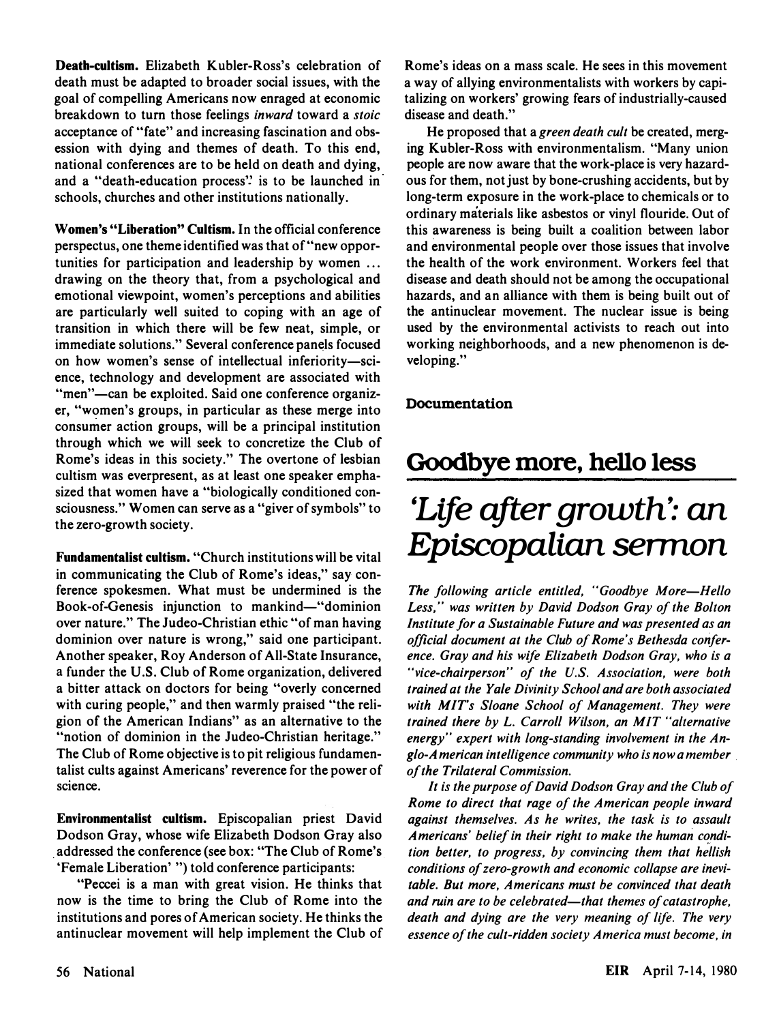Death-cultism. Elizabeth Kubler-Ross's celebration of death must be adapted to broader social issues, with the goal of compelling Americans now enraged at economic breakdown to turn those feelings inward toward a stoic acceptance of "fate" and increasing fascination and obsession with dying and themes of death. To this end, national conferences are to be held on death and dying, and a "death-education process'! is to be launched in schools, churches and other institutions nationally.

Women's "Liberation" Cultism. In the official conference perspectus, one theme identified was that of "new opportunities for participation and leadership by women ... drawing on the theory that, from a psychological and emotional viewpoint, women's perceptions and abilities are particularly well suited to coping with an age of transition in which there will be few neat, simple, or immediate solutions." Several conference panels focused on how women's sense of intellectual inferiority-science, technology and development are associated with "men"—can be exploited. Said one conference organizer, "women's groups, in particular as these merge into consumer action groups, will be a principal institution through which we will seek to concretize the Club of Rome's ideas in this society." The overtone of lesbian cultism was everpresent, as at least one speaker emphasized that women have a "biologically conditioned consciousness." Women can serve as a "giver of symbols" to the zero-growth society.

Fundamentalist cultism. "Church institutions will be vital in communicating the Club of Rome's ideas," say conference spokesmen. What must be undermined is the Book-of-Genesis injunction to mankind—"dominion over nature." The Judeo-Christian ethic "of man having dominion over nature is wrong," said one participant. Another speaker, Roy Anderson of All-State Insurance, a funder the U.S. Club of Rome organization, delivered a bitter attack on doctors for being "overly concerned with curing people," and then warmly praised "the religion of the American Indians" as an alternative to the "notion of dominion in the Judeo-Christian heritage." The Club of Rome objective is to pit religious fundamentalist cults against Americans' reverence for the power of science.

Environmentalist cultism. Episcopalian priest David Dodson Gray, whose wife Elizabeth Dodson Gray also . addressed the conference (see box: "The Club of Rome's. 'Female Liberation' ") told conference participants:

"Peccei is a man with great vision. He thinks that now is the time to bring the Club of Rome into the institutions and pores of American society. He thinks the antinuclear movement will help implement the Club of Rome's ideas on a mass scale. He sees in this movement a way of allying environmentalists with workers by capitalizing on workers' growing fears of industrially-caused disease and death."

He proposed that a green death cult be created, merging Kubler-Ross with environmentalism. "Many union people are now aware that the work-place is very hazardous for them, not just by bone-crushing accidents, but by long-term exposure in the work-place to chemicals or to ordinary materials like asbestos or vinyl flouride. Out of this awareness is being built a coalition between labor and environmental people over those issues that involve the health of the work environment. Workers feel that disease and death should not be among the occupational hazards, and an alliance with them is being built out of the antinuclear movement. The nuclear issue is being used by the environmental activists to reach out into working neighborhoods, and a new phenomenon is developing."

#### Documentation

### Goodbye more, hello less

# 'Life after growth': an Episcopalian sermon

The following article entitled, "Goodbye More-Hello Less," was written by David Dodson Gray of the Bolton Institute for a Sustainable Future and was presented as an official document at the Club of Rome's Bethesda conference. Gray and his wife Elizabeth Dodson Gray, who is a "vice-chairperson" of the U.S. Association, were both trained at the Yale Divinity School and are both associated with MIT's Sloane School of Management. They were trained there by L. Carroll Wilson, an MIT "alternative energy" expert with long-standing involvement in the Anglo-A merican intelligence community who is now a member . of the Trilateral Commission.

It is the purpose of David Dodson Gray and the Club of Rome to direct that rage of the American people inward against themselves. As he writes, the task is to assault Americans' belief in their right to make the human condition better, to progress, by convincing them that hellish conditions of zero-growth and economic collapse are inevitable. But more, Americans must be convinced that death and ruin are to be celebrated-that themes of catastrophe, death and dying are the very meaning of life. The very essence of the cult-ridden society America must become, in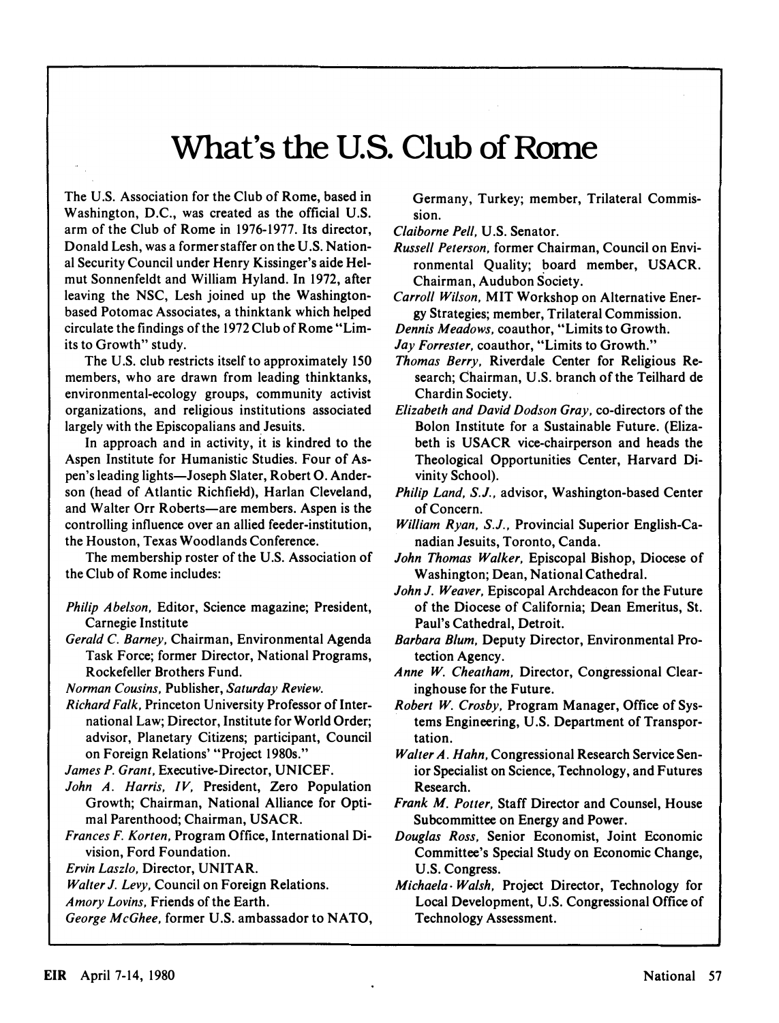## What's the U.S. Club of Rome

The U.S. Association for the Club of Rome, based in Washington, D.C., was created as the official U.S. arm of the Club of Rome in 1976-1977. Its director, Donald Lesh, was a former staffer on the U.S. National Security Council under Henry Kissinger's aide Helmut Sonnenfeldt and William Hyland. In 1972, after leaving the NSC, Lesh joined up the Washingtonbased Potomac Associates, a thinktank which helped circulate the findings of the 1972 Club of Rome "Limits to Growth" study.

The U.S. club restricts itself to approximately 150 members, who are drawn from leading thinktanks, environmental-ecology groups, community activist organizations, and religious institutions associated largely with the Episcopalians and Jesuits.

In approach and in activity, it is kindred to the Aspen Institute for Humanistic Studies. Four of Aspen's leading lights-Joseph Slater, Robert O. Anderson (head of Atlantic Richfield), Harlan Cleveland, and Walter Orr Roberts—are members. Aspen is the controlling influence over an allied feeder-institution, the Houston, Texas Woodlands Conference.

The membership roster of the U.S. Association of the Club of Rome includes:

- Philip Abelson. Editor, Science magazine; President, Carnegie Institute
- Gerald C. Barney. Chairman, Environmental Agenda Task Force; former Director, National Programs, Rockefeller Brothers Fund.

Norman Cousins. Publisher, Saturday Review.

Richard Falk, Princeton University Professor of International Law; Director, Institute for World Order; advisor, Planetary Citizens; participant, Council on Foreign Relations' "Project 1980s."

James P. Grant. Executive-Director, UNICEF.

- John A. Harris, IV, President, Zero Population Growth; Chairman, National Alliance for Optimal Parenthood; Chairman, USACR.
- Frances F. Korten. Program Office, International Division, Ford Foundation.

Ervin Laszlo. Director, UNITAR.

- Walter J. Levy, Council on Foreign Relations.
- Amory Lovins. Friends of the Earth.

George McGhee. former U.S. ambassador to NATO,

Germany, Turkey; member, Trilateral Commission.

- Claiborne Pell. U.S. Senator.
- Russell Peterson. former Chairman, Council on Environmental Quality; �oard member, USACR. Chairman, Audubon Society.
- Carroll Wilson. MIT Workshop on Alternative Energy Strategies; member, Trilateral Commission.
- Dennis Meadows. coauthor, "Limits to Growth.
- Jay Forrester, coauthor, "Limits to Growth."
- Thomas Berry. Riverdale Center for Religious Research; Chairman, U.S. branch of the Teilhard de Chardin Society.
- Elizabeth and David Dodson Gray. co-directors of the Bolon Institute for a Sustainable Future. (Elizabeth is USACR vice-chairperson and heads the Theological Opportunities Center, Harvard Divinity School).
- Philip Land, S.J., advisor, Washington-based Center of Concern.
- William Ryan, S.J., Provincial Superior English-Canadian Jesuits, Toronto, Canda.
- John Thomas Walker, Episcopal Bishop, Diocese of Washington; Dean, National Cathedral.
- John J. Weaver, Episcopal Archdeacon for the Future of the Diocese of California; Dean Emeritus, St. Paul's Cathedral, Detroit.
- Barbara Blum. Deputy Director, Environmental Protection Agency.
- Anne W. Cheatham. Director, Congressional Clearinghouse for the Future.
- Robert W. Crosby. Program Manager, Office of Systems Engineering, U.S. Department of Transportation.
- Walter A. Hahn, Congressional Research Service Senior Specialist on Science, Technology, and Futures Research.
- Frank M. Potter. Staff Director and Counsel, House Subcommittee on Energy and Power.
- Douglas Ross. Senior Economist, Joint Economic Committee's Special Study on Economic Change, U.S. Congress.
- Michaela· Walsh. Project Director, Technology for Local Development, U.S. Congressional Office of Technology Assessment.